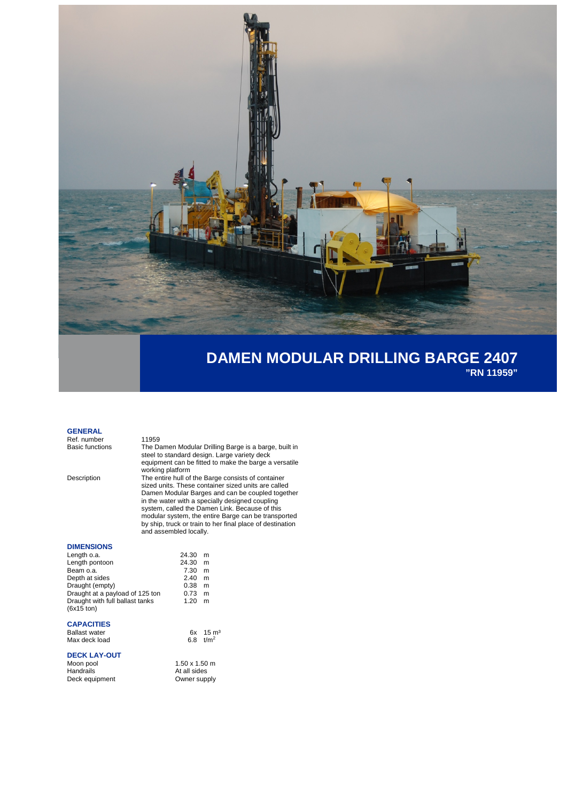

## **DAMEN MODULAR DRILLING BARGE 2407 "RN 11959"**

## **GENERAL**

Ref. number<br>Basic functions

Basic functions The Damen Modular Drilling Barge is a barge, built in steel to standard design. Large variety deck equipment can be fitted to make the barge a versatile working platform

Description The entire hull of the Barge consists of container sized units. These container sized units are called Damen Modular Barges and can be coupled together in the water with a specially designed coupling system, called the Damen Link. Because of this modular system, the entire Barge can be transported by ship, truck or train to her final place of destination and assembled locally.

 $m$ 

#### **DIMENSIONS**

| 24.30 | m |
|-------|---|
| 24.30 | m |
| 7.30  | m |
| 2.40  | m |
| 0.38  | m |
| 0.73  | m |
| 1.20  | m |
|       |   |
|       |   |

### **CAPACITIES**

| <b>Ballast water</b> |                      | $6x + 15$ m <sup>3</sup> |
|----------------------|----------------------|--------------------------|
| Max deck load        | 6.8                  | t/m <sup>2</sup>         |
| <b>DECK LAY-OUT</b>  |                      |                          |
| Moon pool            | $1.50 \times 1.50$ m |                          |
| Handrails            | At all sides         |                          |
| Deck equipment       | Owner supply         |                          |